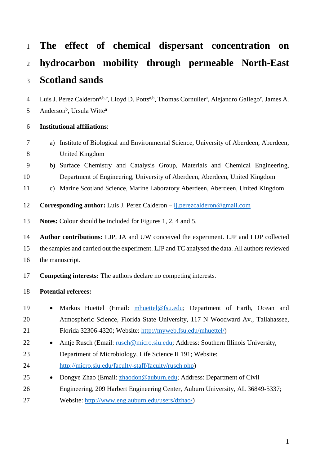| $\mathbf{1}$   | The effect of chemical dispersant concentration on                                                                                                  |
|----------------|-----------------------------------------------------------------------------------------------------------------------------------------------------|
| $\overline{2}$ | hydrocarbon mobility through permeable North-East                                                                                                   |
| 3              | <b>Scotland sands</b>                                                                                                                               |
| $\overline{4}$ | Luis J. Perez Calderon <sup>a,b,c</sup> , Lloyd D. Potts <sup>a,b</sup> , Thomas Cornulier <sup>a</sup> , Alejandro Gallego <sup>c</sup> , James A. |
| 5              | Anderson <sup>b</sup> , Ursula Witte <sup>a</sup>                                                                                                   |
| 6              | <b>Institutional affiliations:</b>                                                                                                                  |
| 7              | Institute of Biological and Environmental Science, University of Aberdeen, Aberdeen,<br>a)                                                          |
| 8              | <b>United Kingdom</b>                                                                                                                               |
| 9              | b) Surface Chemistry and Catalysis Group, Materials and Chemical Engineering,                                                                       |
| 10             | Department of Engineering, University of Aberdeen, Aberdeen, United Kingdom                                                                         |
| 11             | Marine Scotland Science, Marine Laboratory Aberdeen, Aberdeen, United Kingdom<br>$\mathbf{c})$                                                      |
| 12             | <b>Corresponding author:</b> Luis J. Perez Calderon – <i>lj. perezcalderon</i> @ gmail.com                                                          |
| 13             | <b>Notes:</b> Colour should be included for Figures 1, 2, 4 and 5.                                                                                  |
| 14             | Author contributions: LJP, JA and UW conceived the experiment. LJP and LDP collected                                                                |
| 15             | the samples and carried out the experiment. LJP and TC analysed the data. All authors reviewed                                                      |
| 16             | the manuscript.                                                                                                                                     |
| 17             | <b>Competing interests:</b> The authors declare no competing interests.                                                                             |
| 18             | <b>Potential referees:</b>                                                                                                                          |
| 19             | Markus Huettel (Email: mhuettel@fsu.edu; Department of Earth, Ocean and                                                                             |
| 20             | Atmospheric Science, Florida State University, 117 N Woodward Av., Tallahassee,                                                                     |
| 21             | Florida 32306-4320; Website: http://myweb.fsu.edu/mhuettel/)                                                                                        |
| 22             | Antje Rusch (Email: rusch@micro.siu.edu; Address: Southern Illinois University,                                                                     |
| 23             | Department of Microbiology, Life Science II 191; Website:                                                                                           |
| 24             | http://micro.siu.edu/faculty-staff/faculty/rusch.php)                                                                                               |
| 25             | Dongye Zhao (Email: zhaodon@auburn.edu; Address: Department of Civil                                                                                |
| 26             | Engineering, 209 Harbert Engineering Center, Auburn University, AL 36849-5337;                                                                      |

Website: [http://www.eng.auburn.edu/users/dzhao/\)](http://www.eng.auburn.edu/users/dzhao/)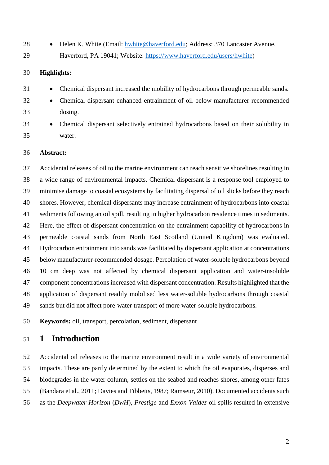- 
- 28 Helen K. White (Email: [hwhite@haverford.edu;](mailto:hwhite@haverford.edu) Address: 370 Lancaster Avenue,
- Haverford, PA 19041; Website: [https://www.haverford.edu/users/hwhite\)](https://www.haverford.edu/users/hwhite)

### **Highlights:**

- Chemical dispersant increased the mobility of hydrocarbons through permeable sands.
- Chemical dispersant enhanced entrainment of oil below manufacturer recommended dosing.
- Chemical dispersant selectively entrained hydrocarbons based on their solubility in water.

### **Abstract:**

 Accidental releases of oil to the marine environment can reach sensitive shorelines resulting in a wide range of environmental impacts. Chemical dispersant is a response tool employed to minimise damage to coastal ecosystems by facilitating dispersal of oil slicks before they reach shores. However, chemical dispersants may increase entrainment of hydrocarbons into coastal sediments following an oil spill, resulting in higher hydrocarbon residence times in sediments. Here, the effect of dispersant concentration on the entrainment capability of hydrocarbons in permeable coastal sands from North East Scotland (United Kingdom) was evaluated. Hydrocarbon entrainment into sands was facilitated by dispersant application at concentrations below manufacturer-recommended dosage. Percolation of water-soluble hydrocarbons beyond 10 cm deep was not affected by chemical dispersant application and water-insoluble component concentrationsincreased with dispersant concentration. Results highlighted that the application of dispersant readily mobilised less water-soluble hydrocarbons through coastal sands but did not affect pore-water transport of more water-soluble hydrocarbons.

**Keywords:** oil, transport, percolation, sediment, dispersant

## **1 Introduction**

 Accidental oil releases to the marine environment result in a wide variety of environmental impacts. These are partly determined by the extent to which the oil evaporates, disperses and biodegrades in the water column, settles on the seabed and reaches shores, among other fates (Bandara et al., 2011; Davies and Tibbetts, 1987; Ramseur, 2010). Documented accidents such as the *Deepwater Horizon* (*DwH*), *Prestige* and *Exxon Valdez* oil spills resulted in extensive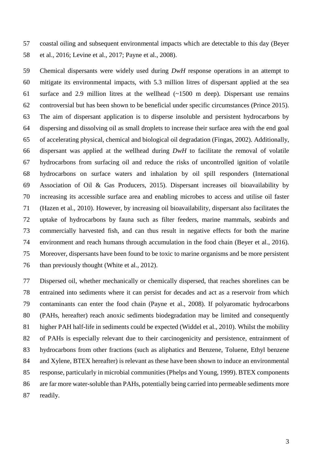coastal oiling and subsequent environmental impacts which are detectable to this day (Beyer et al., 2016; Levine et al., 2017; Payne et al., 2008).

 Chemical dispersants were widely used during *DwH* response operations in an attempt to mitigate its environmental impacts, with 5.3 million litres of dispersant applied at the sea surface and 2.9 million litres at the wellhead (~1500 m deep). Dispersant use remains controversial but has been shown to be beneficial under specific circumstances (Prince 2015). The aim of dispersant application is to disperse insoluble and persistent hydrocarbons by dispersing and dissolving oil as small droplets to increase their surface area with the end goal of accelerating physical, chemical and biological oil degradation (Fingas, 2002). Additionally, dispersant was applied at the wellhead during *DwH* to facilitate the removal of volatile hydrocarbons from surfacing oil and reduce the risks of uncontrolled ignition of volatile hydrocarbons on surface waters and inhalation by oil spill responders (International Association of Oil & Gas Producers, 2015). Dispersant increases oil bioavailability by increasing its accessible surface area and enabling microbes to access and utilise oil faster (Hazen et al., 2010). However, by increasing oil bioavailability, dispersant also facilitates the uptake of hydrocarbons by fauna such as filter feeders, marine mammals, seabirds and commercially harvested fish, and can thus result in negative effects for both the marine environment and reach humans through accumulation in the food chain (Beyer et al., 2016). Moreover, dispersants have been found to be toxic to marine organisms and be more persistent than previously thought (White et al., 2012).

 Dispersed oil, whether mechanically or chemically dispersed, that reaches shorelines can be entrained into sediments where it can persist for decades and act as a reservoir from which contaminants can enter the food chain (Payne et al., 2008). If polyaromatic hydrocarbons (PAHs, hereafter) reach anoxic sediments biodegradation may be limited and consequently higher PAH half-life in sediments could be expected (Widdel et al., 2010). Whilst the mobility of PAHs is especially relevant due to their carcinogenicity and persistence, entrainment of hydrocarbons from other fractions (such as aliphatics and Benzene, Toluene, Ethyl benzene and Xylene, BTEX hereafter) is relevant as these have been shown to induce an environmental response, particularly in microbial communities (Phelps and Young, 1999). BTEX components are far more water-soluble than PAHs, potentially being carried into permeable sediments more readily.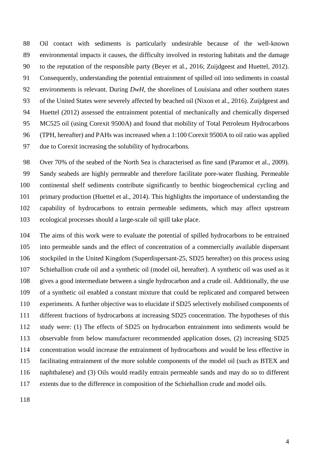Oil contact with sediments is particularly undesirable because of the well-known environmental impacts it causes, the difficulty involved in restoring habitats and the damage to the reputation of the responsible party (Beyer et al., 2016; Zuijdgeest and Huettel, 2012). Consequently, understanding the potential entrainment of spilled oil into sediments in coastal environments is relevant. During *DwH*, the shorelines of Louisiana and other southern states of the United States were severely affected by beached oil (Nixon et al., 2016). Zuijdgeest and Huettel (2012) assessed the entrainment potential of mechanically and chemically dispersed MC525 oil (using Corexit 9500A) and found that mobility of Total Petroleum Hydrocarbons (TPH, hereafter) and PAHs was increased when a 1:100 Corexit 9500A to oil ratio was applied due to Corexit increasing the solubility of hydrocarbons.

 Over 70% of the seabed of the North Sea is characterised as fine sand (Paramor et al., 2009). Sandy seabeds are highly permeable and therefore facilitate pore-water flushing. Permeable continental shelf sediments contribute significantly to benthic biogeochemical cycling and primary production (Huettel et al., 2014). This highlights the importance of understanding the capability of hydrocarbons to entrain permeable sediments, which may affect upstream ecological processes should a large-scale oil spill take place.

 The aims of this work were to evaluate the potential of spilled hydrocarbons to be entrained into permeable sands and the effect of concentration of a commercially available dispersant stockpiled in the United Kingdom (Superdispersant-25, SD25 hereafter) on this process using Schiehallion crude oil and a synthetic oil (model oil, hereafter). A synthetic oil was used as it gives a good intermediate between a single hydrocarbon and a crude oil. Additionally, the use of a synthetic oil enabled a constant mixture that could be replicated and compared between experiments. A further objective was to elucidate if SD25 selectively mobilised components of different fractions of hydrocarbons at increasing SD25 concentration. The hypotheses of this study were: (1) The effects of SD25 on hydrocarbon entrainment into sediments would be observable from below manufacturer recommended application doses, (2) increasing SD25 concentration would increase the entrainment of hydrocarbons and would be less effective in facilitating entrainment of the more soluble components of the model oil (such as BTEX and naphthalene) and (3) Oils would readily entrain permeable sands and may do so to different extents due to the difference in composition of the Schiehallion crude and model oils.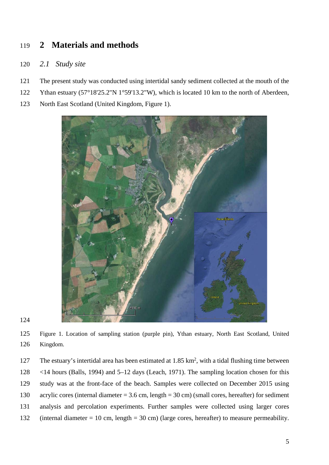# **2 Materials and methods**

### *2.1 Study site*

- The present study was conducted using intertidal sandy sediment collected at the mouth of the
- 122 Ythan estuary (57°18'25.2"N 1°59'13.2"W), which is located 10 km to the north of Aberdeen,
- North East Scotland (United Kingdom, [Figure 1\)](#page-4-0).



<span id="page-4-0"></span> Figure 1. Location of sampling station (purple pin), Ythan estuary, North East Scotland, United Kingdom.

127 The estuary's intertidal area has been estimated at  $1.85 \text{ km}^2$ , with a tidal flushing time between <14 hours (Balls, 1994) and 5–12 days (Leach, 1971). The sampling location chosen for this study was at the front-face of the beach. Samples were collected on December 2015 using acrylic cores (internal diameter = 3.6 cm, length = 30 cm) (small cores, hereafter) for sediment analysis and percolation experiments. Further samples were collected using larger cores (internal diameter = 10 cm, length = 30 cm) (large cores, hereafter) to measure permeability.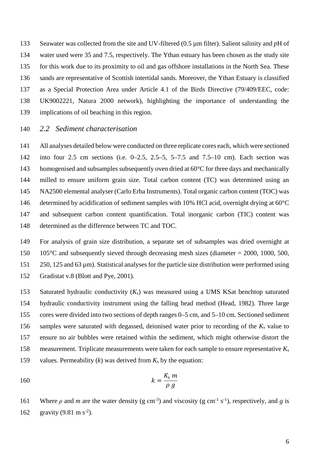Seawater was collected from the site and UV-filtered (0.5 µm filter). Salient salinity and *p*H of water used were 35 and 7.5, respectively. The Ythan estuary has been chosen as the study site for this work due to its proximity to oil and gas offshore installations in the North Sea. These sands are representative of Scottish intertidal sands. Moreover, the Ythan Estuary is classified as a Special Protection Area under Article 4.1 of the Birds Directive (79/409/EEC, code: UK9002221, Natura 2000 network), highlighting the importance of understanding the implications of oil beaching in this region.

### *2.2 Sediment characterisation*

 All analyses detailed below were conducted on three replicate cores each, which were sectioned into four 2.5 cm sections (i.e. 0–2.5, 2.5–5, 5–7.5 and 7.5–10 cm). Each section was 143 homogenised and subsamples subsequently oven dried at 60°C for three days and mechanically milled to ensure uniform grain size. Total carbon content (TC) was determined using an NA2500 elemental analyser (Carlo Erba Instruments). Total organic carbon content (TOC) was 146 determined by acidification of sediment samples with 10% HCl acid, overnight drying at  $60^{\circ}$ C and subsequent carbon content quantification. Total inorganic carbon (TIC) content was determined as the difference between TC and TOC.

 For analysis of grain size distribution, a separate set of subsamples was dried overnight at 105°C and subsequently sieved through decreasing mesh sizes (diameter = 2000, 1000, 500, 250, 125 and 63 µm). Statistical analyses for the particle size distribution were performed using Gradistat v.8 (Blott and Pye, 2001).

 Saturated hydraulic conductivity (*K*s) was measured using a UMS KSat benchtop saturated hydraulic conductivity instrument using the falling head method (Head, 1982). Three large cores were divided into two sections of depth ranges 0–5 cm, and 5–10 cm. Sectioned sediment samples were saturated with degassed, deionised water prior to recording of the *K*<sup>s</sup> value to ensure no air bubbles were retained within the sediment, which might otherwise distort the measurement. Triplicate measurements were taken for each sample to ensure representative *K*<sup>s</sup> values. Permeability (*k*) was derived from *K*<sup>s</sup> by the equation:

$$
k = \frac{K_s}{\rho} \frac{m}{g}
$$

161 Where *ρ* and *m* are the water density (g cm<sup>-3</sup>) and viscosity (g cm<sup>-1</sup> s<sup>-1</sup>), respectively, and *g* is 162 gravity  $(9.81 \text{ m s}^2)$ .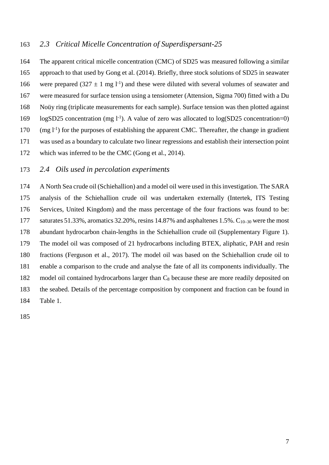### *2.3 Critical Micelle Concentration of Superdispersant-25*

 The apparent critical micelle concentration (CMC) of SD25 was measured following a similar approach to that used by Gong et al. (2014). Briefly, three stock solutions of SD25 in seawater 166 were prepared (327  $\pm$  1 mg l<sup>-1</sup>) and these were diluted with several volumes of seawater and were measured for surface tension using a tensiometer (Attension, Sigma 700) fitted with a Du Noüy ring (triplicate measurements for each sample). Surface tension was then plotted against  $\log$ SD25 concentration (mg l<sup>-1</sup>). A value of zero was allocated to  $\log(SD25$  concentration=0)  $(170 \text{ (mg l}^{-1}))$  for the purposes of establishing the apparent CMC. Thereafter, the change in gradient was used as a boundary to calculate two linear regressions and establish their intersection point which was inferred to be the CMC (Gong et al., 2014).

### *2.4 Oils used in percolation experiments*

 A North Sea crude oil (Schiehallion) and a model oil were used in this investigation. The SARA analysis of the Schiehallion crude oil was undertaken externally (Intertek, ITS Testing Services, United Kingdom) and the mass percentage of the four fractions was found to be: 177 saturates 51.33%, aromatics 32.20%, resins  $14.87\%$  and asphaltenes 1.5%.  $C_{10-30}$  were the most abundant hydrocarbon chain-lengths in the Schiehallion crude oil (Supplementary Figure 1). The model oil was composed of 21 hydrocarbons including BTEX, aliphatic, PAH and resin fractions (Ferguson et al., 2017). The model oil was based on the Schiehallion crude oil to enable a comparison to the crude and analyse the fate of all its components individually. The model oil contained hydrocarbons larger than C8 because these are more readily deposited on the seabed. Details of the percentage composition by component and fraction can be found in [Table 1.](#page-7-0)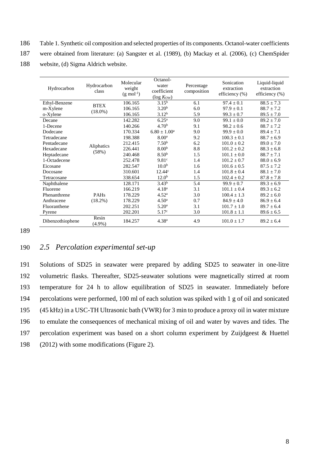- <span id="page-7-0"></span>186 Table 1. Synthetic oil composition and selected properties of its components. Octanol-water coefficients
- 187 were obtained from literature: (a) Sangster et al. (1989), (b) Mackay et al. (2006), (c) ChemSpider
- 188 website, (d) Sigma Aldrich website.

| Hydrocarbon      | Hydrocarbon<br>class | Molecular<br>weight<br>$(g \text{ mol}^{-1})$ | Octanol-<br>water<br>coefficient<br>$(\log Kow)$ | Percentage<br>composition | Sonication<br>extraction<br>efficiency $(\% )$ | Liquid-liquid<br>extraction<br>efficiency $(\% )$ |
|------------------|----------------------|-----------------------------------------------|--------------------------------------------------|---------------------------|------------------------------------------------|---------------------------------------------------|
| Ethyl-Benzene    | <b>BTEX</b>          | 106.165                                       | $3.15^{b}$                                       | 6.1                       | $97.4 \pm 0.1$                                 | $88.5 \pm 7.3$                                    |
| m-Xylene         | $(18.0\%)$           | 106.165                                       | 3.20 <sup>b</sup>                                | 6.0                       | $97.9 \pm 0.1$                                 | $88.7 \pm 7.2$                                    |
| o-Xylene         |                      | 106.165                                       | $3.12^{b}$                                       | 5.9                       | $99.3 \pm 0.7$                                 | $89.5 \pm 7.0$                                    |
| Decane           |                      | 142.282                                       | $6.25^{\rm a}$                                   | 9.0                       | $99.1 \pm 0.0$                                 | $89.2 \pm 7.0$                                    |
| 1-Decene         |                      | 140.266                                       | 4.70 <sup>b</sup>                                | 9.1                       | $98.2 \pm 0.6$                                 | $88.7 \pm 7.2$                                    |
| Dodecane         |                      | 170.334                                       | $6.80 \pm 1.00^{\text{a}}$                       | 9.0                       | $99.9 \pm 0.0$                                 | $89.4 \pm 7.1$                                    |
| Tetradecane      | Aliphatics<br>(58%)  | 198.388                                       | 8.00 <sup>a</sup>                                | 9.2                       | $100.3 \pm 0.1$                                | $88.7 \pm 6.9$                                    |
| Pentadecane      |                      | 212.415                                       | 7.50 <sup>b</sup>                                | 6.2                       | $101.0 \pm 0.2$                                | $89.0 \pm 7.0$                                    |
| Hexadecane       |                      | 226.441                                       | 8.00 <sup>b</sup>                                | 8.8                       | $101.2 \pm 0.2$                                | $88.3 \pm 6.8$                                    |
| Heptadecane      |                      | 240.468                                       | 8.50 <sup>b</sup>                                | 1.5                       | $101.1 \pm 0.0$                                | $88.7 \pm 7.1$                                    |
| 1-Octadecene     |                      | 252.478                                       | 9.81 <sup>c</sup>                                | 1.4                       | $101.2 \pm 0.7$                                | $88.0 \pm 6.9$                                    |
| Eicosane         |                      | 282.547                                       | 10.0 <sup>b</sup>                                | 1.6                       | $101.6 \pm 0.5$                                | $87.5 \pm 7.2$                                    |
| Docosane         |                      | 310.601                                       | 12.44c                                           | 1.4                       | $101.8 \pm 0.4$                                | $88.1 \pm 7.0$                                    |
| Tetracosane      |                      | 338.654                                       | 12.0 <sup>b</sup>                                | 1.5                       | $102.4 \pm 0.2$                                | $87.8 \pm 7.8$                                    |
| Naphthalene      |                      | 128.171                                       | $3.43^{b}$                                       | 5.4                       | $99.9 \pm 0.7$                                 | $89.3 \pm 6.9$                                    |
| Fluorene         |                      | 166.219                                       | 4.18 <sup>a</sup>                                | 3.1                       | $101.1 \pm 0.4$                                | $89.3 \pm 6.2$                                    |
| Phenanthrene     | <b>PAHs</b>          | 178.229                                       | 4.52 <sup>a</sup>                                | 3.0                       | $100.4 \pm 1.3$                                | $89.2 \pm 6.0$                                    |
| Anthracene       | $(18.2\%)$           | 178.229                                       | 4.50 <sup>a</sup>                                | 0.7                       | $84.9 \pm 4.0$                                 | $86.9 \pm 6.4$                                    |
| Fluoranthene     |                      | 202.251                                       | 5.20 <sup>a</sup>                                | 3.1                       | $101.7 \pm 1.0$                                | $89.7 \pm 6.4$                                    |
| Pyrene           |                      | 202.201                                       | 5.17 <sup>c</sup>                                | 3.0                       | $101.8 \pm 1.1$                                | $89.6 \pm 6.5$                                    |
| Dibenzothiophene | Resin<br>$(4.9\%)$   | 184.257                                       | 4.38 <sup>a</sup>                                | 4.9                       | $101.0 \pm 1.7$                                | $89.2 \pm 6.4$                                    |

189

### 190 *2.5 Percolation experimental set-up*

 Solutions of SD25 in seawater were prepared by adding SD25 to seawater in one-litre volumetric flasks. Thereafter, SD25-seawater solutions were magnetically stirred at room temperature for 24 h to allow equilibration of SD25 in seawater. Immediately before percolations were performed, 100 ml of each solution was spiked with 1 g of oil and sonicated (45 kHz) in a USC-TH Ultrasonic bath (VWR) for 3 min to produce a proxy oil in water mixture to emulate the consequences of mechanical mixing of oil and water by waves and tides. The percolation experiment was based on a short column experiment by Zuijdgeest & Huettel (2012) with some modifications [\(Figure 2\)](#page-8-0).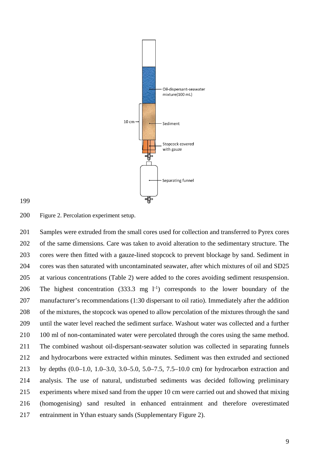



#### <span id="page-8-0"></span>Figure 2. Percolation experiment setup.

 Samples were extruded from the small cores used for collection and transferred to Pyrex cores of the same dimensions. Care was taken to avoid alteration to the sedimentary structure. The cores were then fitted with a gauze-lined stopcock to prevent blockage by sand. Sediment in cores was then saturated with uncontaminated seawater, after which mixtures of oil and SD25 at various concentrations (Table 2) were added to the cores avoiding sediment resuspension. 206 The highest concentration  $(333.3 \text{ mg } l^{-1})$  corresponds to the lower boundary of the manufacturer's recommendations (1:30 dispersant to oil ratio). Immediately after the addition of the mixtures, the stopcock was opened to allow percolation of the mixtures through the sand until the water level reached the sediment surface. Washout water was collected and a further 210 100 ml of non-contaminated water were percolated through the cores using the same method. The combined washout oil-dispersant-seawater solution was collected in separating funnels and hydrocarbons were extracted within minutes. Sediment was then extruded and sectioned by depths (0.0–1.0, 1.0–3.0, 3.0–5.0, 5.0–7.5, 7.5–10.0 cm) for hydrocarbon extraction and analysis. The use of natural, undisturbed sediments was decided following preliminary experiments where mixed sand from the upper 10 cm were carried out and showed that mixing (homogenising) sand resulted in enhanced entrainment and therefore overestimated entrainment in Ythan estuary sands (Supplementary Figure 2).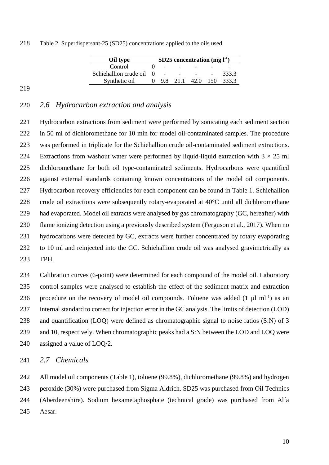| 218 | Table 2. Superdispersant-25 (SD25) concentrations applied to the oils used. |  |  |
|-----|-----------------------------------------------------------------------------|--|--|
|     |                                                                             |  |  |

| Oil type                 | SD25 concentration $(mg l-1)$ |  |  |  |                         |  |
|--------------------------|-------------------------------|--|--|--|-------------------------|--|
| Control                  |                               |  |  |  |                         |  |
| Schiehallion crude oil 0 |                               |  |  |  | 333.3                   |  |
| Synthetic oil            |                               |  |  |  | 9.8 21.1 42.0 150 333.3 |  |

### 

### *2.6 Hydrocarbon extraction and analysis*

 Hydrocarbon extractions from sediment were performed by sonicating each sediment section in 50 ml of dichloromethane for 10 min for model oil-contaminated samples. The procedure was performed in triplicate for the Schiehallion crude oil-contaminated sediment extractions. 224 Extractions from washout water were performed by liquid-liquid extraction with  $3 \times 25$  ml dichloromethane for both oil type-contaminated sediments. Hydrocarbons were quantified against external standards containing known concentrations of the model oil components. Hydrocarbon recovery efficiencies for each component can be found in [Table 1.](#page-7-0) Schiehallion crude oil extractions were subsequently rotary-evaporated at 40°C until all dichloromethane had evaporated. Model oil extracts were analysed by gas chromatography (GC, hereafter) with flame ionizing detection using a previously described system (Ferguson et al., 2017). When no hydrocarbons were detected by GC, extracts were further concentrated by rotary evaporating to 10 ml and reinjected into the GC. Schiehallion crude oil was analysed gravimetrically as TPH.

 Calibration curves (6-point) were determined for each compound of the model oil. Laboratory control samples were analysed to establish the effect of the sediment matrix and extraction 236 procedure on the recovery of model oil compounds. Toluene was added  $(1 \mu I \text{ ml}^{-1})$  as an internal standard to correct for injection error in the GC analysis. The limits of detection (LOD) and quantification (LOQ) were defined as chromatographic signal to noise ratios (S:N) of 3 and 10, respectively. When chromatographic peaks had a S:N between the LOD and LOQ were assigned a value of LOQ/2.

### *2.7 Chemicals*

 All model oil components [\(Table 1\)](#page-7-0), toluene (99.8%), dichloromethane (99.8%) and hydrogen peroxide (30%) were purchased from Sigma Aldrich. SD25 was purchased from Oil Technics (Aberdeenshire). Sodium hexametaphosphate (technical grade) was purchased from Alfa Aesar.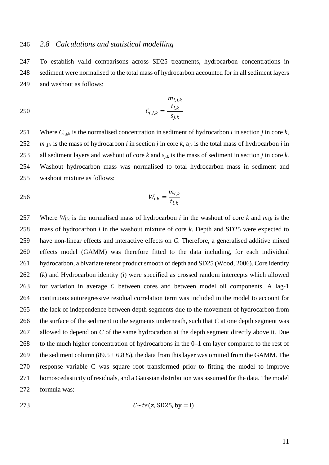### *2.8 Calculations and statistical modelling*

 To establish valid comparisons across SD25 treatments, hydrocarbon concentrations in sediment were normalised to the total mass of hydrocarbon accounted for in all sediment layers and washout as follows:

250 
$$
C_{i,j,k} = \frac{\frac{m_{i,j,k}}{t_{i,k}}}{s_{j,k}}
$$

251 Where  $C_{i,j,k}$  is the normalised concentration in sediment of hydrocarbon *i* in section *j* in core *k*,  $m_{i,j,k}$  is the mass of hydrocarbon *i* in section *j* in core *k*,  $t_{i,k}$  is the total mass of hydrocarbon *i* in all sediment layers and washout of core *k* and *s*j,k is the mass of sediment in section *j* in core *k*. Washout hydrocarbon mass was normalised to total hydrocarbon mass in sediment and washout mixture as follows:

$$
W_{i,k} = \frac{m_{i,k}}{t_{i,k}}
$$

257 Where  $W_{ik}$  is the normalised mass of hydrocarbon *i* in the washout of core *k* and  $m_{ik}$  is the mass of hydrocarbon *i* in the washout mixture of core *k*. Depth and SD25 were expected to have non-linear effects and interactive effects on *C*. Therefore, a generalised additive mixed effects model (GAMM) was therefore fitted to the data including, for each individual hydrocarbon, a bivariate tensor product smooth of depth and SD25 (Wood, 2006). Core identity (*k*) and Hydrocarbon identity (*i*) were specified as crossed random intercepts which allowed 263 for variation in average  $C$  between cores and between model oil components. A lag-1 continuous autoregressive residual correlation term was included in the model to account for the lack of independence between depth segments due to the movement of hydrocarbon from the surface of the sediment to the segments underneath, such that *C* at one depth segment was allowed to depend on *C* of the same hydrocarbon at the depth segment directly above it. Due to the much higher concentration of hydrocarbons in the 0–1 cm layer compared to the rest of 269 the sediment column (89.5  $\pm$  6.8%), the data from this layer was omitted from the GAMM. The response variable C was square root transformed prior to fitting the model to improve homoscedasticity of residuals, and a Gaussian distribution was assumed for the data. The model formula was:

$$
C \sim te(z, SD25, by = i)
$$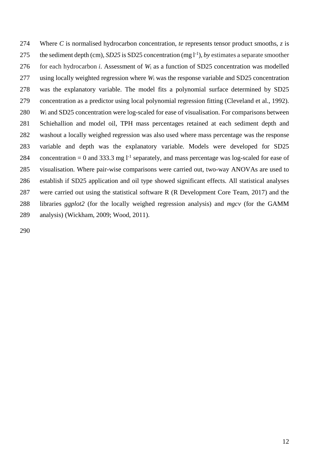Where *C* is normalised hydrocarbon concentration, *te* represents tensor product smooths, *z* is 275 the sediment depth (cm), *SD25* is SD25 concentration (mg  $l^{-1}$ ), *by* estimates a separate smoother for each hydrocarbon *i*. Assessment of *W*<sup>i</sup> as a function of SD25 concentration was modelled using locally weighted regression where *W*<sup>i</sup> was the response variable and SD25 concentration was the explanatory variable. The model fits a polynomial surface determined by SD25 concentration as a predictor using local polynomial regression fitting (Cleveland et al., 1992). *W*<sup>i</sup> and SD25 concentration were log-scaled for ease of visualisation. For comparisons between Schiehallion and model oil, TPH mass percentages retained at each sediment depth and washout a locally weighed regression was also used where mass percentage was the response variable and depth was the explanatory variable. Models were developed for SD25 284 concentration = 0 and 333.3 mg  $1<sup>-1</sup>$  separately, and mass percentage was log-scaled for ease of visualisation. Where pair-wise comparisons were carried out, two-way ANOVAs are used to establish if SD25 application and oil type showed significant effects. All statistical analyses were carried out using the statistical software R (R Development Core Team, 2017) and the libraries *ggplot2* (for the locally weighed regression analysis) and *mgcv* (for the GAMM analysis) (Wickham, 2009; Wood, 2011).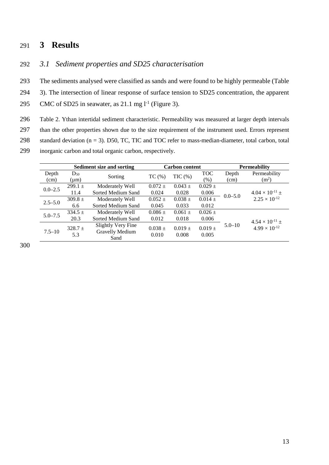## 291 **3 Results**

### 292 *3.1 Sediment properties and SD25 characterisation*

293 The sediments analysed were classified as sands and were found to be highly permeable (Table 294 3). The intersection of linear response of surface tension to SD25 concentration, the apparent 295 CMC of SD25 in seawater, as  $21.1$  mg  $l^{-1}$  [\(Figure 3\)](#page-13-0).

<span id="page-12-0"></span>296 Table 2. Ythan intertidal sediment characteristic. Permeability was measured at larger depth intervals

297 than the other properties shown due to the size requirement of the instrument used. Errors represent 298 standard deviation (n = 3). D50, TC, TIC and TOC refer to mass-median-diameter, total carbon, total

299 inorganic carbon and total organic carbon, respectively.

|             |                                                                    | <b>Sediment size and sorting</b> |             | <b>Carbon content</b> |             | <b>Permeability</b> |                                                    |
|-------------|--------------------------------------------------------------------|----------------------------------|-------------|-----------------------|-------------|---------------------|----------------------------------------------------|
| Depth       | $D_{50}$                                                           | Sorting                          | TC(%)       | $TIC$ $%$             | <b>TOC</b>  | Depth               | Permeability                                       |
| (cm)        | $(\mu m)$                                                          |                                  |             |                       | (% )        | (cm)                | (m <sup>2</sup> )                                  |
| $0.0 - 2.5$ | 299.1 $\pm$                                                        | Moderately Well                  | $0.072 \pm$ | $0.043 \pm$           | $0.029 \pm$ | $0.0 - 5.0$         | $4.04 \times 10^{-11}$ ±<br>$2.25 \times 10^{-12}$ |
|             | 11.4                                                               | Sorted Medium Sand               | 0.024       | 0.028                 | 0.006       |                     |                                                    |
| $2.5 - 5.0$ | $309.8 \pm$                                                        | Moderately Well                  | $0.052 \pm$ | $0.038 \pm$           | $0.014 \pm$ |                     |                                                    |
|             | 6.6                                                                | Sorted Medium Sand               | 0.045       | 0.033                 | 0.012       |                     |                                                    |
| $5.0 - 7.5$ | $334.5 \pm$                                                        | Moderately Well                  | $0.086 \pm$ | $0.061 \pm$           | $0.026 \pm$ |                     |                                                    |
|             | 20.3                                                               | Sorted Medium Sand               | 0.012       | 0.018                 | 0.006       |                     | $4.54 \times 10^{-11}$ ±                           |
|             | <b>Slightly Very Fine</b><br>$328.7 \pm$<br>Gravelly Medium<br>5.3 |                                  | $0.038 \pm$ | $0.019 \pm$           | $0.019 \pm$ | $5.0 - 10$          | $4.99 \times 10^{-12}$                             |
| $7.5 - 10$  |                                                                    |                                  |             |                       |             |                     |                                                    |
|             |                                                                    | Sand                             | 0.010       | 0.008                 | 0.005       |                     |                                                    |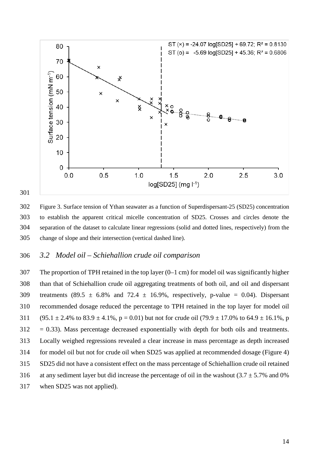

<span id="page-13-0"></span> Figure 3. Surface tension of Ythan seawater as a function of Superdispersant-25 (SD25) concentration to establish the apparent critical micelle concentration of SD25. Crosses and circles denote the separation of the dataset to calculate linear regressions (solid and dotted lines, respectively) from the change of slope and their intersection (vertical dashed line).

### *3.2 Model oil – Schiehallion crude oil comparison*

 The proportion of TPH retained in the top layer (0–1 cm) for model oil was significantly higher than that of Schiehallion crude oil aggregating treatments of both oil, and oil and dispersant 309 treatments (89.5  $\pm$  6.8% and 72.4  $\pm$  16.9%, respectively, p-value = 0.04). Dispersant recommended dosage reduced the percentage to TPH retained in the top layer for model oil 311 (95.1  $\pm$  2.4% to 83.9  $\pm$  4.1%, p = 0.01) but not for crude oil (79.9  $\pm$  17.0% to 64.9  $\pm$  16.1%, p  $312 = 0.33$ ). Mass percentage decreased exponentially with depth for both oils and treatments. Locally weighed regressions revealed a clear increase in mass percentage as depth increased for model oil but not for crude oil when SD25 was applied at recommended dosage (Figure 4) SD25 did not have a consistent effect on the mass percentage of Schiehallion crude oil retained 316 at any sediment layer but did increase the percentage of oil in the washout (3.7  $\pm$  5.7% and 0% when SD25 was not applied).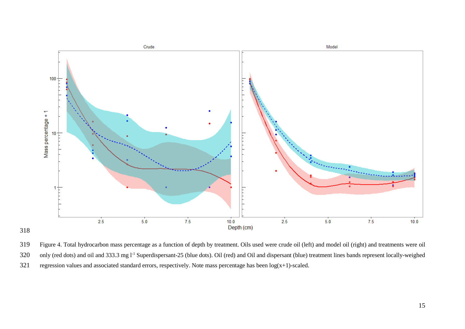

318

319 Figure 4. Total hydrocarbon mass percentage as a function of depth by treatment. Oils used were crude oil (left) and model oil (right) and treatments were oil 320 only (red dots) and oil and 333.3 mg l<sup>-1</sup> Superdispersant-25 (blue dots). Oil (red) and Oil and dispersant (blue) treatment lines bands represent locally-weighed 321 regression values and associated standard errors, respectively. Note mass percentage has been  $log(x+1)$ -scaled.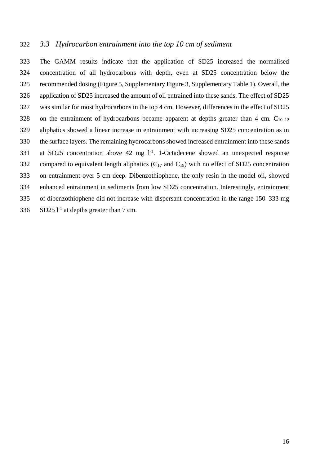### *3.3 Hydrocarbon entrainment into the top 10 cm of sediment*

 The GAMM results indicate that the application of SD25 increased the normalised concentration of all hydrocarbons with depth, even at SD25 concentration below the recommended dosing [\(Figure 5,](#page-16-0) Supplementary Figure 3, Supplementary Table 1). Overall, the application of SD25 increased the amount of oil entrained into these sands. The effect of SD25 was similar for most hydrocarbons in the top 4 cm. However, differences in the effect of SD25 328 on the entrainment of hydrocarbons became apparent at depths greater than 4 cm.  $C_{10-12}$  aliphatics showed a linear increase in entrainment with increasing SD25 concentration as in the surface layers. The remaining hydrocarbons showed increased entrainment into these sands 331 at SD25 concentration above 42 mg  $l<sup>-1</sup>$ . 1-Octadecene showed an unexpected response 332 compared to equivalent length aliphatics  $(C_{17}$  and  $C_{19}$ ) with no effect of SD25 concentration on entrainment over 5 cm deep. Dibenzothiophene, the only resin in the model oil, showed enhanced entrainment in sediments from low SD25 concentration. Interestingly, entrainment of dibenzothiophene did not increase with dispersant concentration in the range 150–333 mg SD25 l<sup>-1</sup> at depths greater than 7 cm.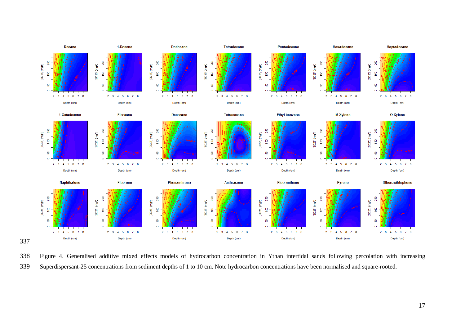

<span id="page-16-0"></span> Figure 4. Generalised additive mixed effects models of hydrocarbon concentration in Ythan intertidal sands following percolation with increasing Superdispersant-25 concentrations from sediment depths of 1 to 10 cm. Note hydrocarbon concentrations have been normalised and square-rooted.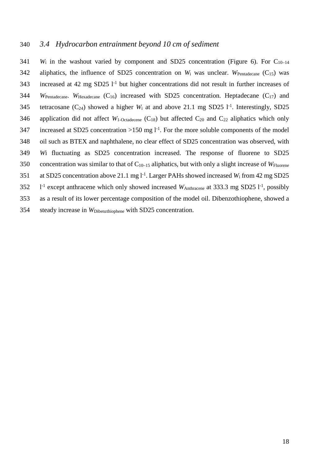### 340 *3.4 Hydrocarbon entrainment beyond 10 cm of sediment*

 $341$  *W*<sub>i</sub> in the washout varied by component and SD25 concentration [\(Figure 6\)](#page-18-0). For C<sub>10-14</sub> 342 aliphatics, the influence of SD25 concentration on  $W_i$  was unclear.  $W_{\text{Pentadecane}}(C_{15})$  was 343 increased at 42 mg SD25  $1<sup>-1</sup>$  but higher concentrations did not result in further increases of 344 *W*Pentadecane. *W*Hexadecane (C16) increased with SD25 concentration. Heptadecane (C17) and 345 tetracosane  $(C_{24})$  showed a higher  $W_i$  at and above 21.1 mg SD25  $1^{-1}$ . Interestingly, SD25 346 application did not affect  $W_1$ -<sub>Octadecene</sub> (C<sub>18</sub>) but affected C<sub>20</sub> and C<sub>22</sub> aliphatics which only 347 increased at SD25 concentration  $>150$  mg l<sup>-1</sup>. For the more soluble components of the model 348 oil such as BTEX and naphthalene, no clear effect of SD25 concentration was observed, with 349 *W*i fluctuating as SD25 concentration increased. The response of fluorene to SD25 350 concentration was similar to that of C10–15 aliphatics, but with only a slight increase of *W*Fluorene 351 at SD25 concentration above 21.1 mg  $l^{-1}$ . Larger PAHs showed increased  $W_i$  from 42 mg SD25 352 1<sup>-1</sup> except anthracene which only showed increased *W*Anthracene at 333.3 mg SD25 1<sup>-1</sup>, possibly 353 as a result of its lower percentage composition of the model oil. Dibenzothiophene, showed a 354 steady increase in *W*Dibenzthiophene with SD25 concentration.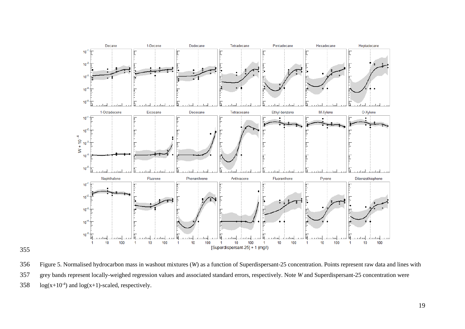

<span id="page-18-0"></span> Figure 5. Normalised hydrocarbon mass in washout mixtures (*W*) as a function of Superdispersant-25 concentration. Points represent raw data and lines with grey bands represent locally-weighed regression values and associated standard errors, respectively. Note *W* and Superdispersant-25 concentration were 358  $log(x+10^{-4})$  and  $log(x+1)$ -scaled, respectively.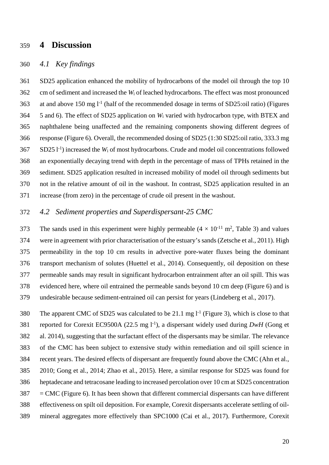## **4 Discussion**

### *4.1 Key findings*

 SD25 application enhanced the mobility of hydrocarbons of the model oil through the top 10 cm of sediment and increased the *W*<sup>i</sup> of leached hydrocarbons. The effect was most pronounced 363 at and above 150 mg  $l^{-1}$  (half of the recommended dosage in terms of SD25:oil ratio) (Figures [5](#page-16-0) [and 6\)](#page-18-0). The effect of SD25 application on *W*<sup>i</sup> varied with hydrocarbon type, with BTEX and naphthalene being unaffected and the remaining components showing different degrees of response [\(Figure 6\)](#page-18-0). Overall, the recommended dosing of SD25 (1:30 SD25:oil ratio, 333.3 mg SD25 l<sup>-1</sup>) increased the *W*<sub>i</sub> of most hydrocarbons. Crude and model oil concentrations followed an exponentially decaying trend with depth in the percentage of mass of TPHs retained in the sediment. SD25 application resulted in increased mobility of model oil through sediments but not in the relative amount of oil in the washout. In contrast, SD25 application resulted in an increase (from zero) in the percentage of crude oil present in the washout.

### *4.2 Sediment properties and Superdispersant-25 CMC*

373 The sands used in this experiment were highly permeable  $(4 \times 10^{-11} \text{ m}^2$ , [Table 3\)](#page-12-0) and values were in agreement with prior characterisation of the estuary's sands (Zetsche et al., 2011). High permeability in the top 10 cm results in advective pore-water fluxes being the dominant transport mechanism of solutes (Huettel et al., 2014). Consequently, oil deposition on these permeable sands may result in significant hydrocarbon entrainment after an oil spill. This was evidenced here, where oil entrained the permeable sands beyond 10 cm deep [\(Figure 6\)](#page-18-0) and is undesirable because sediment-entrained oil can persist for years (Lindeberg et al., 2017).

380 The apparent CMC of SD25 was calculated to be 21.1 mg  $l^{-1}$  [\(Figure 3\)](#page-13-0), which is close to that reported for Corexit EC9500A (22.5 mg l-1 ), a dispersant widely used during *DwH* (Gong et al. 2014), suggesting that the surfactant effect of the dispersants may be similar. The relevance of the CMC has been subject to extensive study within remediation and oil spill science in recent years. The desired effects of dispersant are frequently found above the CMC (Ahn et al., 2010; Gong et al., 2014; Zhao et al., 2015). Here, a similar response for SD25 was found for heptadecane and tetracosane leading to increased percolation over 10 cm at SD25 concentration  $387 = CMC$  [\(Figure 6\)](#page-18-0). It has been shown that different commercial dispersants can have different effectiveness on spilt oil deposition. For example, Corexit dispersants accelerate settling of oil-mineral aggregates more effectively than SPC1000 (Cai et al., 2017). Furthermore, Corexit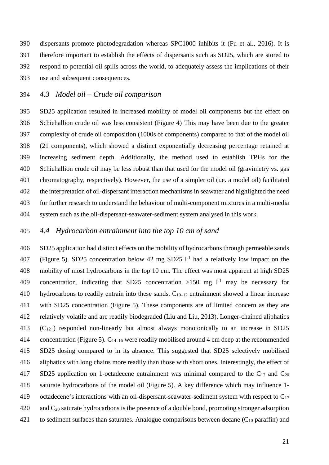dispersants promote photodegradation whereas SPC1000 inhibits it (Fu et al., 2016). It is therefore important to establish the effects of dispersants such as SD25, which are stored to respond to potential oil spills across the world, to adequately assess the implications of their use and subsequent consequences.

#### *4.3 Model oil – Crude oil comparison*

 SD25 application resulted in increased mobility of model oil components but the effect on Schiehallion crude oil was less consistent (Figure 4) This may have been due to the greater complexity of crude oil composition (1000s of components) compared to that of the model oil (21 components), which showed a distinct exponentially decreasing percentage retained at increasing sediment depth. Additionally, the method used to establish TPHs for the Schiehallion crude oil may be less robust than that used for the model oil (gravimetry vs. gas chromatography, respectively). However, the use of a simpler oil (i.e. a model oil) facilitated the interpretation of oil-dispersant interaction mechanisms in seawater and highlighted the need for further research to understand the behaviour of multi-component mixtures in a multi-media system such as the oil-dispersant-seawater-sediment system analysed in this work.

### *4.4 Hydrocarbon entrainment into the top 10 cm of sand*

 SD25 application had distinct effects on the mobility of hydrocarbons through permeable sands 407 [\(Figure 5\)](#page-16-0). SD25 concentration below 42 mg SD25  $1<sup>-1</sup>$  had a relatively low impact on the mobility of most hydrocarbons in the top 10 cm. The effect was most apparent at high SD25 409 concentration, indicating that SD25 concentration  $>150$  mg  $1<sup>-1</sup>$  may be necessary for 410 hydrocarbons to readily entrain into these sands.  $C_{10-12}$  entrainment showed a linear increase with SD25 concentration [\(Figure 5\)](#page-16-0). These components are of limited concern as they are relatively volatile and are readily biodegraded (Liu and Liu, 2013). Longer-chained aliphatics 413  $(C_{12+})$  responded non-linearly but almost always monotonically to an increase in SD25 414 concentration [\(Figure 5\)](#page-16-0).  $C_{14-16}$  were readily mobilised around 4 cm deep at the recommended SD25 dosing compared to in its absence. This suggested that SD25 selectively mobilised aliphatics with long chains more readily than those with short ones. Interestingly, the effect of 417 SD25 application on 1-octadecene entrainment was minimal compared to the  $C_{17}$  and  $C_{20}$  saturate hydrocarbons of the model oil [\(Figure 5\)](#page-16-0). A key difference which may influence 1- 419 octadecene's interactions with an oil-dispersant-seawater-sediment system with respect to  $C_{17}$ 420 and  $C_{20}$  saturate hydrocarbons is the presence of a double bond, promoting stronger adsorption 421 to sediment surfaces than saturates. Analogue comparisons between decane  $(C_{10}$  paraffin) and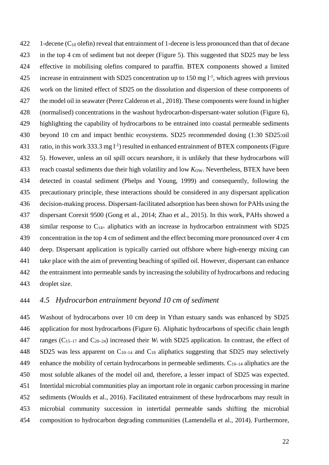422 1-decene  $(C_{10}$  olefin) reveal that entrainment of 1-decene is less pronounced than that of decane in the top 4 cm of sediment but not deeper [\(Figure 5\)](#page-16-0). This suggested that SD25 may be less effective in mobilising olefins compared to paraffin. BTEX components showed a limited 425 increase in entrainment with SD25 concentration up to 150 mg  $1<sup>-1</sup>$ , which agrees with previous work on the limited effect of SD25 on the dissolution and dispersion of these components of the model oil in seawater (Perez Calderon et al., 2018). These components were found in higher (normalised) concentrations in the washout hydrocarbon-dispersant-water solution [\(Figure 6\)](#page-18-0), highlighting the capability of hydrocarbons to be entrained into coastal permeable sediments beyond 10 cm and impact benthic ecosystems. SD25 recommended dosing (1:30 SD25:oil 431 ratio, in this work 333.3 mg  $1^{-1}$ ) resulted in enhanced entrainment of BTEX components (Figure [5\)](#page-16-0). However, unless an oil spill occurs nearshore, it is unlikely that these hydrocarbons will 433 reach coastal sediments due their high volatility and low  $K<sub>OW</sub>$ . Nevertheless, BTEX have been detected in coastal sediment (Phelps and Young, 1999) and consequently, following the precautionary principle, these interactions should be considered in any dispersant application decision-making process. Dispersant-facilitated adsorption has been shown for PAHs using the dispersant Corexit 9500 (Gong et al., 2014; Zhao et al., 2015). In this work, PAHs showed a 438 similar response to  $C_{14+}$  aliphatics with an increase in hydrocarbon entrainment with SD25 concentration in the top 4 cm of sediment and the effect becoming more pronounced over 4 cm deep. Dispersant application is typically carried out offshore where high-energy mixing can take place with the aim of preventing beaching of spilled oil. However, dispersant can enhance the entrainment into permeable sands by increasing the solubility of hydrocarbons and reducing droplet size.

### *4.5 Hydrocarbon entrainment beyond 10 cm of sediment*

 Washout of hydrocarbons over 10 cm deep in Ythan estuary sands was enhanced by SD25 application for most hydrocarbons [\(Figure 6\)](#page-18-0). Aliphatic hydrocarbons of specific chain length ranges (C15–17 and C20–24) increased their *W*<sup>i</sup> with SD25 application. In contrast, the effect of SD25 was less apparent on C10–14 and C18 aliphatics suggesting that SD25 may selectively 449 enhance the mobility of certain hydrocarbons in permeable sediments.  $C_{10-14}$  aliphatics are the most soluble alkanes of the model oil and, therefore, a lesser impact of SD25 was expected. Intertidal microbial communities play an important role in organic carbon processing in marine sediments (Woulds et al., 2016). Facilitated entrainment of these hydrocarbons may result in microbial community succession in intertidal permeable sands shifting the microbial composition to hydrocarbon degrading communities (Lamendella et al., 2014). Furthermore,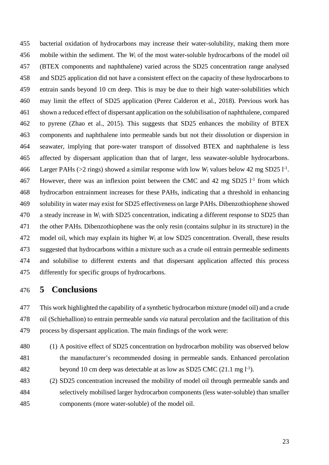bacterial oxidation of hydrocarbons may increase their water-solubility, making them more mobile within the sediment. The *W*<sup>i</sup> of the most water-soluble hydrocarbons of the model oil (BTEX components and naphthalene) varied across the SD25 concentration range analysed and SD25 application did not have a consistent effect on the capacity of these hydrocarbons to entrain sands beyond 10 cm deep. This is may be due to their high water-solubilities which may limit the effect of SD25 application (Perez Calderon et al., 2018). Previous work has shown a reduced effect of dispersant application on the solubilisation of naphthalene, compared to pyrene (Zhao et al., 2015). This suggests that SD25 enhances the mobility of BTEX components and naphthalene into permeable sands but not their dissolution or dispersion in seawater, implying that pore-water transport of dissolved BTEX and naphthalene is less affected by dispersant application than that of larger, less seawater-soluble hydrocarbons. 466 Larger PAHs ( $>2$  rings) showed a similar response with low  $W_i$  values below 42 mg SD25 l<sup>-1</sup>. 467 However, there was an inflexion point between the CMC and 42 mg SD25 l<sup>-1</sup> from which hydrocarbon entrainment increases for these PAHs, indicating that a threshold in enhancing solubility in water may exist for SD25 effectiveness on large PAHs. Dibenzothiophene showed a steady increase in *W*<sup>i</sup> with SD25 concentration, indicating a different response to SD25 than the other PAHs. Dibenzothiophene was the only resin (contains sulphur in its structure) in the model oil, which may explain its higher *W*<sup>i</sup> at low SD25 concentration. Overall, these results suggested that hydrocarbons within a mixture such as a crude oil entrain permeable sediments and solubilise to different extents and that dispersant application affected this process differently for specific groups of hydrocarbons.

# **5 Conclusions**

 This work highlighted the capability of a synthetic hydrocarbon mixture (model oil) and a crude oil (Schiehallion) to entrain permeable sands *via* natural percolation and the facilitation of this process by dispersant application. The main findings of the work were:

- (1) A positive effect of SD25 concentration on hydrocarbon mobility was observed below the manufacturer's recommended dosing in permeable sands. Enhanced percolation 482 beyond 10 cm deep was detectable at as low as SD25 CMC  $(21.1 \text{ mg } l^{-1})$ .
- (2) SD25 concentration increased the mobility of model oil through permeable sands and selectively mobilised larger hydrocarbon components (less water-soluble) than smaller components (more water-soluble) of the model oil.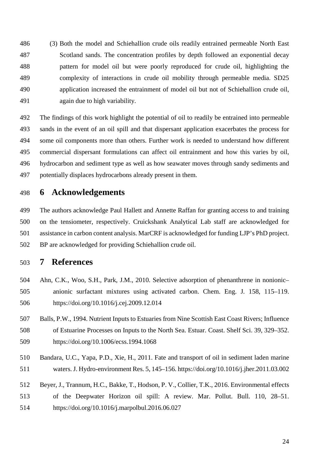(3) Both the model and Schiehallion crude oils readily entrained permeable North East Scotland sands. The concentration profiles by depth followed an exponential decay pattern for model oil but were poorly reproduced for crude oil, highlighting the complexity of interactions in crude oil mobility through permeable media. SD25 application increased the entrainment of model oil but not of Schiehallion crude oil, again due to high variability.

 The findings of this work highlight the potential of oil to readily be entrained into permeable sands in the event of an oil spill and that dispersant application exacerbates the process for some oil components more than others. Further work is needed to understand how different commercial dispersant formulations can affect oil entrainment and how this varies by oil, hydrocarbon and sediment type as well as how seawater moves through sandy sediments and potentially displaces hydrocarbons already present in them.

## **6 Acknowledgements**

 The authors acknowledge Paul Hallett and Annette Raffan for granting access to and training on the tensiometer, respectively. Cruickshank Analytical Lab staff are acknowledged for assistance in carbon content analysis. MarCRF is acknowledged for funding LJP's PhD project. BP are acknowledged for providing Schiehallion crude oil.

## **7 References**

- Ahn, C.K., Woo, S.H., Park, J.M., 2010. Selective adsorption of phenanthrene in nonionic– anionic surfactant mixtures using activated carbon. Chem. Eng. J. 158, 115–119. https://doi.org/10.1016/j.cej.2009.12.014
- Balls, P.W., 1994. Nutrient Inputs to Estuaries from Nine Scottish East Coast Rivers; Influence of Estuarine Processes on Inputs to the North Sea. Estuar. Coast. Shelf Sci. 39, 329–352. https://doi.org/10.1006/ecss.1994.1068
- Bandara, U.C., Yapa, P.D., Xie, H., 2011. Fate and transport of oil in sediment laden marine waters. J. Hydro-environment Res. 5, 145–156. https://doi.org/10.1016/j.jher.2011.03.002
- Beyer, J., Trannum, H.C., Bakke, T., Hodson, P. V., Collier, T.K., 2016. Environmental effects of the Deepwater Horizon oil spill: A review. Mar. Pollut. Bull. 110, 28–51. https://doi.org/10.1016/j.marpolbul.2016.06.027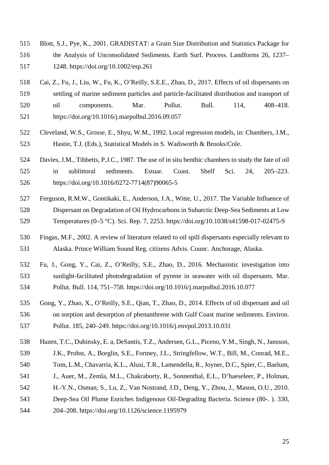- Blott, S.J., Pye, K., 2001. GRADISTAT: a Grain Size Distribution and Statistics Package for the Analysis of Unconsolidated Sediments. Earth Surf. Process. Landforms 26, 1237– 1248. https://doi.org/10.1002/esp.261
- Cai, Z., Fu, J., Liu, W., Fu, K., O'Reilly, S.E.E., Zhao, D., 2017. Effects of oil dispersants on settling of marine sediment particles and particle-facilitated distribution and transport of oil components. Mar. Pollut. Bull. 114, 408–418. https://doi.org/10.1016/j.marpolbul.2016.09.057
- Cleveland, W.S., Grosse, E., Shyu, W.M., 1992. Local regression models, in: Chambers, J.M., Hastie, T.J. (Eds.), Statistical Models in S. Wadsworth & Brooks/Cole.
- Davies, J.M., Tibbetts, P.J.C., 1987. The use of in situ benthic chambers to study the fate of oil in sublittoral sediments. Estuar. Coast. Shelf Sci. 24, 205–223. https://doi.org/10.1016/0272-7714(87)90065-5
- Ferguson, R.M.W., Gontikaki, E., Anderson, J.A., Witte, U., 2017. The Variable Influence of Dispersant on Degradation of Oil Hydrocarbons in Subarctic Deep-Sea Sediments at Low Temperatures (0–5 °C). Sci. Rep. 7, 2253. https://doi.org/10.1038/s41598-017-02475-9
- Fingas, M.F., 2002. A review of literature related to oil spill dispersants especially relevant to Alaska. Prince William Sound Reg. citizens Advis. Counc. Anchorage, Alaska.
- Fu, J., Gong, Y., Cai, Z., O'Reilly, S.E., Zhao, D., 2016. Mechanistic investigation into sunlight-facilitated photodegradation of pyrene in seawater with oil dispersants. Mar. Pollut. Bull. 114, 751–758. https://doi.org/10.1016/j.marpolbul.2016.10.077
- Gong, Y., Zhao, X., O'Reilly, S.E., Qian, T., Zhao, D., 2014. Effects of oil dispersant and oil on sorption and desorption of phenanthrene with Gulf Coast marine sediments. Environ. Pollut. 185, 240–249. https://doi.org/10.1016/j.envpol.2013.10.031
- Hazen, T.C., Dubinsky, E. a, DeSantis, T.Z., Andersen, G.L., Piceno, Y.M., Singh, N., Jansson, J.K., Probst, A., Borglin, S.E., Fortney, J.L., Stringfellow, W.T., Bill, M., Conrad, M.E.,
- 
- Tom, L.M., Chavarria, K.L., Alusi, T.R., Lamendella, R., Joyner, D.C., Spier, C., Baelum,
- J., Auer, M., Zemla, M.L., Chakraborty, R., Sonnenthal, E.L., D'haeseleer, P., Holman,
- H.-Y.N., Osman, S., Lu, Z., Van Nostrand, J.D., Deng, Y., Zhou, J., Mason, O.U., 2010.
- Deep-Sea Oil Plume Enriches Indigenous Oil-Degrading Bacteria. Science (80-. ). 330,
- 204–208. https://doi.org/10.1126/science.1195979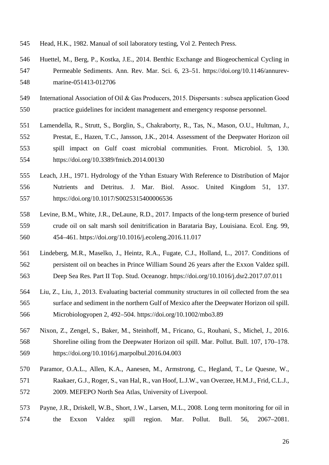- Head, H.K., 1982. Manual of soil laboratory testing, Vol 2. Pentech Press.
- Huettel, M., Berg, P., Kostka, J.E., 2014. Benthic Exchange and Biogeochemical Cycling in Permeable Sediments. Ann. Rev. Mar. Sci. 6, 23–51. https://doi.org/10.1146/annurev-marine-051413-012706
- International Association of Oil & Gas Producers, 2015. Dispersants : subsea application Good practice guidelines for incident management and emergency response personnel.
- Lamendella, R., Strutt, S., Borglin, S., Chakraborty, R., Tas, N., Mason, O.U., Hultman, J., Prestat, E., Hazen, T.C., Jansson, J.K., 2014. Assessment of the Deepwater Horizon oil spill impact on Gulf coast microbial communities. Front. Microbiol. 5, 130. https://doi.org/10.3389/fmicb.2014.00130
- Leach, J.H., 1971. Hydrology of the Ythan Estuary With Reference to Distribution of Major Nutrients and Detritus. J. Mar. Biol. Assoc. United Kingdom 51, 137. https://doi.org/10.1017/S0025315400006536
- Levine, B.M., White, J.R., DeLaune, R.D., 2017. Impacts of the long-term presence of buried crude oil on salt marsh soil denitrification in Barataria Bay, Louisiana. Ecol. Eng. 99, 454–461. https://doi.org/10.1016/j.ecoleng.2016.11.017
- Lindeberg, M.R., Maselko, J., Heintz, R.A., Fugate, C.J., Holland, L., 2017. Conditions of persistent oil on beaches in Prince William Sound 26 years after the Exxon Valdez spill. Deep Sea Res. Part II Top. Stud. Oceanogr. https://doi.org/10.1016/j.dsr2.2017.07.011
- Liu, Z., Liu, J., 2013. Evaluating bacterial community structures in oil collected from the sea surface and sediment in the northern Gulf of Mexico after the Deepwater Horizon oil spill. Microbiologyopen 2, 492–504. https://doi.org/10.1002/mbo3.89
- Nixon, Z., Zengel, S., Baker, M., Steinhoff, M., Fricano, G., Rouhani, S., Michel, J., 2016. Shoreline oiling from the Deepwater Horizon oil spill. Mar. Pollut. Bull. 107, 170–178. https://doi.org/10.1016/j.marpolbul.2016.04.003
- Paramor, O.A.L., Allen, K.A., Aanesen, M., Armstrong, C., Hegland, T., Le Quesne, W., Raakaer, G.J., Roger, S., van Hal, R., van Hoof, L.J.W., van Overzee, H.M.J., Frid, C.L.J., 2009. MEFEPO North Sea Atlas, University of Liverpool.
- Payne, J.R., Driskell, W.B., Short, J.W., Larsen, M.L., 2008. Long term monitoring for oil in the Exxon Valdez spill region. Mar. Pollut. Bull. 56, 2067–2081.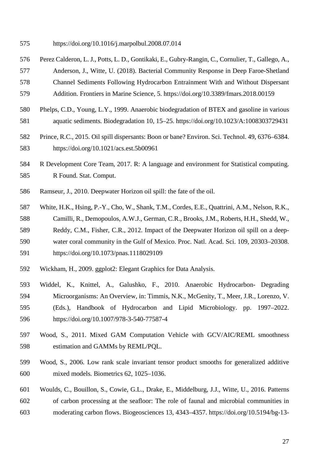https://doi.org/10.1016/j.marpolbul.2008.07.014

- Perez Calderon, L. J., Potts, L. D., Gontikaki, E., Gubry-Rangin, C., Cornulier, T., Gallego, A., Anderson, J., Witte, U. (2018). Bacterial Community Response in Deep Faroe-Shetland Channel Sediments Following Hydrocarbon Entrainment With and Without Dispersant Addition. Frontiers in Marine Science, 5. https://doi.org/10.3389/fmars.2018.00159
- Phelps, C.D., Young, L.Y., 1999. Anaerobic biodegradation of BTEX and gasoline in various aquatic sediments. Biodegradation 10, 15–25. https://doi.org/10.1023/A:1008303729431
- Prince, R.C., 2015. Oil spill dispersants: Boon or bane? Environ. Sci. Technol. 49, 6376–6384. https://doi.org/10.1021/acs.est.5b00961
- R Development Core Team, 2017. R: A language and environment for Statistical computing. R Found. Stat. Comput.
- Ramseur, J., 2010. Deepwater Horizon oil spill: the fate of the oil.
- White, H.K., Hsing, P.-Y., Cho, W., Shank, T.M., Cordes, E.E., Quattrini, A.M., Nelson, R.K., Camilli, R., Demopoulos, A.W.J., German, C.R., Brooks, J.M., Roberts, H.H., Shedd, W., Reddy, C.M., Fisher, C.R., 2012. Impact of the Deepwater Horizon oil spill on a deep-water coral community in the Gulf of Mexico. Proc. Natl. Acad. Sci. 109, 20303–20308.
- https://doi.org/10.1073/pnas.1118029109
- Wickham, H., 2009. ggplot2: Elegant Graphics for Data Analysis.
- Widdel, K., Knittel, A., Galushko, F., 2010. Anaerobic Hydrocarbon- Degrading Microorganisms: An Overview, in: Timmis, N.K., McGenity, T., Meer, J.R., Lorenzo, V. (Eds.), Handbook of Hydrocarbon and Lipid Microbiology. pp. 1997–2022. https://doi.org/10.1007/978-3-540-77587-4
- Wood, S., 2011. Mixed GAM Computation Vehicle with GCV/AIC/REML smoothness estimation and GAMMs by REML/PQL.
- Wood, S., 2006. Low rank scale invariant tensor product smooths for generalized additive mixed models. Biometrics 62, 1025–1036.
- Woulds, C., Bouillon, S., Cowie, G.L., Drake, E., Middelburg, J.J., Witte, U., 2016. Patterns of carbon processing at the seafloor: The role of faunal and microbial communities in moderating carbon flows. Biogeosciences 13, 4343–4357. https://doi.org/10.5194/bg-13-